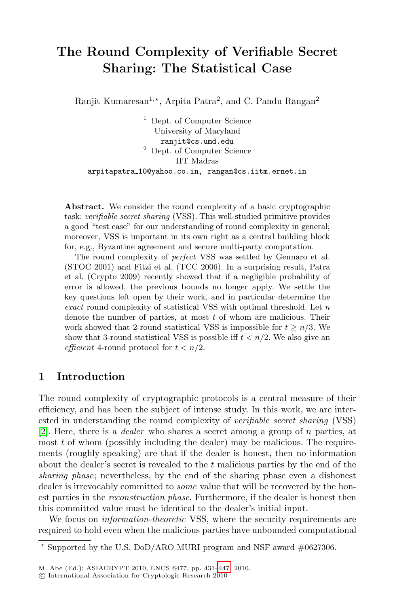# **The Round Complexity of Verifiable Secret Sharing: The Statistical Case**

Ranjit Kumaresan<sup>1,\*</sup>, Arpita Patra<sup>2</sup>, and C. Pandu Rangan<sup>2</sup>

<sup>1</sup> Dept. of Computer Science University of Maryland ranjit@cs.umd.edu <sup>2</sup> Dept. of Computer Science IIT Madras arpitapatra 10@yahoo.co.in, rangan@cs.iitm.ernet.in

**Abstract.** We consider the round complexity of a basic cryptographic task: verifiable secret sharing (VSS). This well-studied primitive provides a good "test case" for our understanding of round complexity in general; moreover, VSS is important in its own right as a central building block for, e.g., Byzantine agreement and secure multi-party computation.

The round complexity of perfect VSS was settled by Gennaro et al. (STOC 2001) and Fitzi et al. (TCC 2006). In a surprising result, Patra et al. (Crypto 2009) recently showed that if a negligible probability of error is allowed, the previous bounds no longer apply. We settle the key questions left open by their work, and in particular determine the exact round complexity of statistical VSS with optimal threshold. Let *n* denote the number of parties, at most *t* of whom are malicious. Their work showed that 2-round statistical VSS is impossible for  $t \geq n/3$ . We show that 3-round statistical VSS is possible iff  $t < n/2$ . We also give an efficient 4-round protocol for  $t < n/2$ .

# **1 Introduction**

The round complexity of cryptographic protocols is a central measure of their efficiency, and has been the subject of intense study. In this work, we are interested in understanding the round complexity of *verifiable secret sharing* (VSS) [2]. Here, there is a *dealer* who shares a secret among a group of n parties, at most  $t$  of whom (possibly including the dealer) may be malicious. The requirements (roughly speaking) are that if the dealer is honest, then no information about the dealer's secret is revealed to the t malicious parties by the end of the *sharing phase*; nevertheless, by the end of the sharing phase even a dishonest dealer is irrevocably com[mitte](#page-16-0)d to *some* value that will be recovered by the honest parties in the *reconstruction phase*. Furthermore, if the dealer is honest then this committed value must be identical to the dealer's initial input.

We focus on *information-theoretic* VSS, where the security requirements are required to hold even when the malicious parties have unbounded computational

<sup>-</sup> Supported by the U.S. DoD/ARO MURI program and NSF award #0627306.

M. Abe (Ed.): ASIACRYPT 2010, LNCS 6477, pp. 431–447, 2010.

<sup>-</sup>c International Association for Cryptologic Research 2010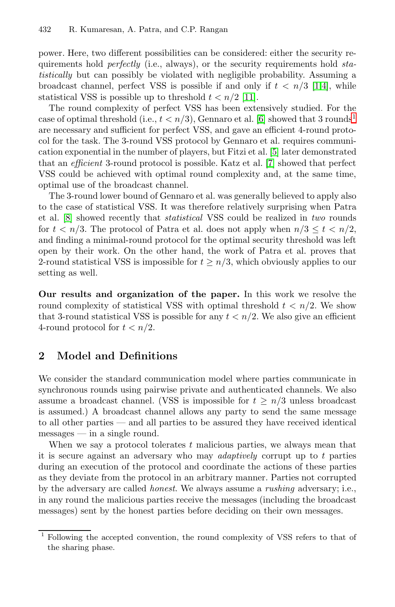power. Here, two different possibilities can be considered: either the security requirements hold *perfectly* (i.e., always[\),](#page-16-2) or the security requirements hold *statistically* but can possibly be violate[d w](#page-16-3)ith negligible probability. Assuming a broadcast channel, perfect VSS is possible if and only if  $t < n/3$  [1,4], while statistical VSS is possible up to threshold  $t < n/2$  [11].

The round complexity of perfect VSS has been extensively studied. For the case of optimal threshold (i.e.,  $t < n/3$ ), Gennaro et al. [6] showed that 3 rounds<sup>1</sup> are necessary and sufficient for perfect VSS, and gave an efficient 4-round protocol for the task. The 3-round VSS protocol by Gennaro et al. requires communication exponential in the number of players, but Fitzi et al. [5] later demonstrated that an *efficient* 3-round protocol is possible. Katz et al. [7] showed that perfect VSS could be achieved with optimal round complexity and, at the same time, optimal use of the broadcast channel.

The 3-round lower bound of Gennaro et al. was generally believed to apply also to the case of statistical VSS. It was therefore relatively surprising when Patra et al. [8] showed recently that *statistical* VSS could be realized in *two* rounds for  $t < n/3$ . The protocol of Patra et al. does not apply when  $n/3 \le t < n/2$ , and finding a minimal-round protocol for the optimal security threshold was left open by their work. On the other hand, the work of Patra et al. proves that 2-round statistical VSS is impossible for  $t \geq n/3$ , which obviously applies to our setting as well.

**Our results and organization of the paper.** In this work we resolve the round complexity of statistical VSS with optimal threshold  $t < n/2$ . We show that 3-round statistical VSS is possible for any  $t < n/2$ . We also give an efficient 4-round protocol for  $t < n/2$ .

# **2 Model and Definitions**

We consider the standard communication model where parties communicate in synchronous rounds using pairwise private and authenticated channels. We also assume a broadcast channel. (VSS is impossible for  $t \geq n/3$  unless broadcast is assumed.) A broadcast channel allows any party to send the same message to all other parties — and all parties to be assured they have received identical messages — in a single round.

When we say a protocol tolerates  $t$  malicious parties, we always mean that it is secure against an adversary who may *adaptively* corrupt up to t parties during an execution of the protocol and coordinate the actions of these parties as they deviate from the protocol in an arbitrary manner. Parties not corrupted by the adversary are called *honest*. We always assume a *rushing* adversary; i.e., in any round the malicious parties receive the messages (including the broadcast messages) sent by the honest parties before deciding on their own messages.

<sup>1</sup> Following the accepted convention, the round complexity of VSS refers to that of the sharing phase.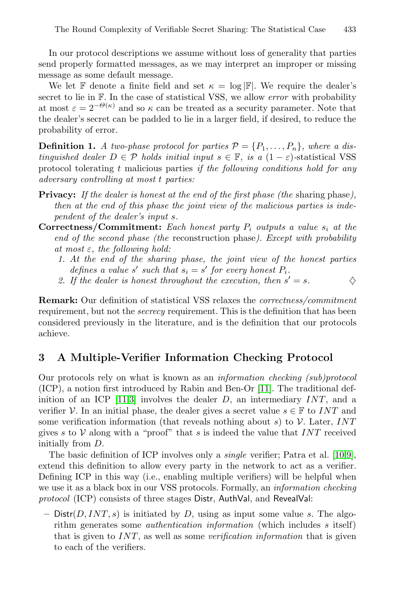In our protocol descriptions we assume without loss of generality that parties send properly formatted messages, as we may interpret an improper or missing message as some default message.

We let F denote a finite field and set  $\kappa = \log |\mathbb{F}|$ . We require the dealer's secret to lie in F. In the case of statistical VSS, we allow *error* with probability at most  $\varepsilon = 2^{-\Theta(\kappa)}$  and so  $\kappa$  can be treated as a security parameter. Note that the dealer's secret can be padded to lie in a larger field, if desired, to reduce the probability of error.

**Definition 1.** *A two-phase protocol for parties*  $P = \{P_1, \ldots, P_n\}$ *, where a distinguished dealer*  $D \in \mathcal{P}$  *holds initial input*  $s \in \mathbb{F}$ *, is a*  $(1 - \varepsilon)$ *-statistical VSS* protocol tolerating t malicious parties *if the following conditions hold for any adversary controlling at most* t *parties:*

- **Privacy:** *If the dealer is honest at the end of the first phase (the* sharing phase*), then at the end of this phase the joint view of the malicious parties is independent of the dealer's input* s*.*
- **Correctness/Commitment:** *Each honest party*  $P_i$  *outputs a value*  $s_i$  *at the end of the second phase (the* reconstruction phase*). Except with probability at most* ε*, the following hold:*
	- *1. At the end of the sharing phase, the joint view of the honest parties defines a value* s' such that  $s_i = s'$  for every honest  $P_i$ .
	- 2. If the dealer is honest throughout the execution, then  $s' = s$ .

**Remark:** Our definition of statistic[al V](#page-16-4)SS relaxes the *correctness/commitment* [req](#page-16-4)[uir](#page-16-5)ement, but not the *secrecy* requirement. This is the definition that has been considered previously in the literature, and is the definition that our protocols achieve.

# **3 A Multiple-Verifier Information Checking Protocol**

Our protocols rely on what is known as an *informati[on](#page-16-6) [ch](#page-16-7)ecking (sub)protocol* (ICP), a notion first introduced by Rabin and Ben-Or [11]. The traditional definition of an ICP  $[11,3]$  involves the dealer D, an intermediary INT, and a verifier  $\mathcal V$ . In an initial phase, the dealer gives a secret value  $s \in \mathbb F$  to INT and some verification information (that reveals nothing about s) to  $\mathcal V$ . Later, INT gives s to  $V$  along with a "proof" that s is indeed the value that INT received initially from D.

The basic definition of ICP involves only a *single* verifier; Patra et al. [10,9], extend this definition to allow every party in the network to act as a verifier. Defining ICP in this way (i.e., enabling multiple verifiers) will be helpful when we use it as a black box in our VSS protocols. Formally, an *information checking protocol* (ICP) consists of three stages Distr, AuthVal, and RevealVal:

 $-$  Distr(D, INT, s) is initiated by D, using as input some value s. The algorithm generates some *authentication information* (which includes s itself) that is given to INT, as well as some *verification information* that is given to each of the verifiers.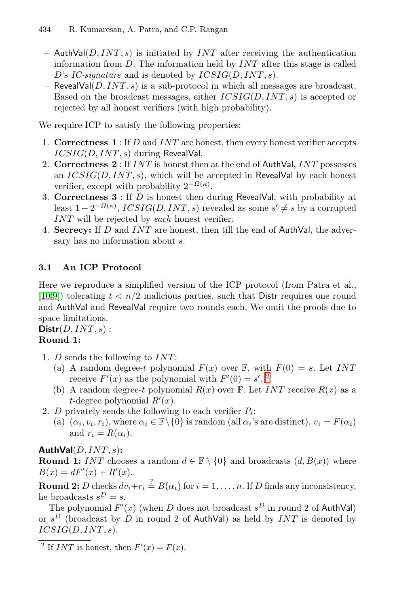- $-$  AuthVal( $D, INT, s$ ) is initiated by *INT* after receiving the authentication information from  $D$ . The information held by  $INT$  after this stage is called D's *IC-signature* and is denoted by *ICSIG(D, INT, s)*.
- $-$  RevealVal( $D, INT, s$ ) is a sub-protocol in which all messages are broadcast. Based on the broadcast messages, either  $ICSIG(D, INT, s)$  is accepted or rejected by all honest verifiers (with high probability).

We require ICP to satisfy the following properties:

- 1. **Correctness 1** : If D and INT are honest, then every honest verifier accepts  $ICSIG(D, INT, s)$  during RevealVal.
- 2. **Correctness 2** : If INT is honest then at the end of AuthVal, INT possesses an  $ICSIG(D, INT, s)$ , which will be accepted in RevealVal by each honest verifier, except with probability  $2^{-\Omega(\kappa)}$ .
- 3. **Correctness 3** : If D is honest then during RevealVal, with probability at least  $1 - 2^{-\Omega(\kappa)}$ ,  $ICSIG(D, INT, s)$  revealed as some  $s' \neq s$  by a corrupted INT will be rejected by *each* honest verifier.
- 4. **Secrecy:** If D and INT are honest, then till the end of AuthVal, the adversary has no information about  $s$ .

#### **3.1 An ICP Protocol**

Here we reproduce a simplified version of the ICP protocol (from Patra et al., [10,9]) tolerating  $t < n/2$  malicious [par](#page-3-0)ties, such that Distr requires one round and AuthVal and RevealVal require two rounds each. We omit the proofs due to space limitations.

 $\textbf{Distr}(D, INT, s)$ : **Round 1:**

- 1. D sends the following to INT:
	- (a) A random degree-t polynomial  $F(x)$  over F, with  $F(0) = s$ . Let INT receive  $F'(x)$  as the polynomial with  $F'(0) = s'.$ <sup>2</sup>
	- (b) A random degree-t polynomial  $R(x)$  over F. Let INT receive  $R(x)$  as a *t*-degree polynomial  $R'(x)$ .
- 2. D privately sends the following to each verifier  $P_i$ :
	- (a)  $(\alpha_i, v_i, r_i)$ , where  $\alpha_i \in \mathbb{F} \setminus \{0\}$  is random (all  $\alpha_i$ 's are distinct),  $v_i = F(\alpha_i)$ and  $r_i = R(\alpha_i)$ .

**AuthVal**(D, INT, s)**:**

<span id="page-3-0"></span>**Round 1:** INT chooses a random  $d \in \mathbb{F} \setminus \{0\}$  and broadcasts  $(d, B(x))$  where  $B(x) = dF'(x) + R'(x).$ 

**Round 2:** D checks  $dv_i + r_i \stackrel{?}{=} B(\alpha_i)$  for  $i = 1, \ldots, n$ . If D finds any inconsistency, he broadcasts  $s^D = s$ .

The polynomial  $F'(x)$  (when D does not broadcast  $s^D$  in round 2 of AuthVal) or  $s^D$  (broadcast by  $\overline{D}$  in round 2 of AuthVal) as held by *INT* is denoted by  $ICSIG(D, INT, s).$ 

<sup>&</sup>lt;sup>2</sup> If *INT* is honest, then  $F'(x) = F(x)$ .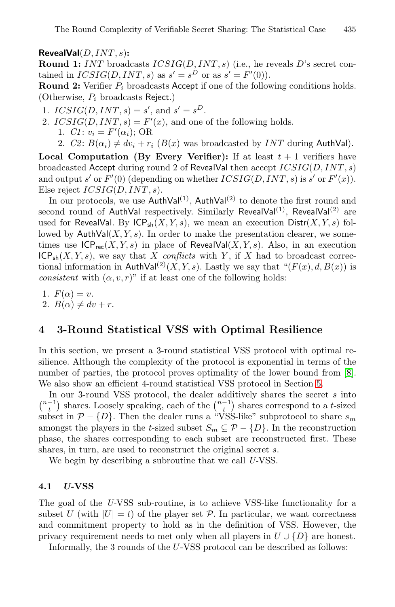The Round Complexity of Verifiable Secret Sharing: The Statistical Case 435

**RevealVal**(D, INT, s)**:**

**Round 1:** INT broadcasts ICSIG(D, INT, s) (i.e., he reveals D's secret contained in  $ICSIG(D, INT, s)$  as  $s' = s^D$  or as  $s' = F'(0)$ .

**Round 2:** Verifier  $P_i$  broadcasts Accept if one of the following conditions holds. (Otherwise,  $P_i$  broadcasts Reject.)

- 1.  $ICSIG(D, INT, s) = s'$ , and  $s' = s^D$ .
- 2.  $ICSIG(D, INT, s) = F'(x)$ , and one of the following holds.
	- 1. *C1*:  $v_i = F'(\alpha_i)$ ; OR
	- 2. *C2*:  $B(\alpha_i) \neq dv_i + r_i$  ( $B(x)$  was broadcasted by *INT* during AuthVal).

**Local Computation (By Every Verifier):** If at least  $t + 1$  verifiers have broadcasted Accept during round 2 of RevealVal then accept ICSIG(D, INT, s) and output s' or  $F'(0)$  (depending on whether  $ICSIG(D, INT, s)$  is s' or  $F'(x)$ ). Else reject  $ICSIG(D, INT, s)$ .

In our protocols, we use  $\text{AuthVal}^{(1)}$ ,  $\text{AuthVal}^{(2)}$  to denote the first round and second round of AuthVal respectively. Similarly RevealVal<sup>(1)</sup>, RevealVal<sup>(2)</sup> are used for RevealVal. By  $ICP_{sh}(X, Y, s)$ , we mean an execution  $Dist(X, Y, s)$  followed by  $\text{AuthVal}(X, Y, s)$ . In order to make the presentation clearer, we sometimes use  $ICP_{rec}(X, Y, s)$  in place of RevealVal $(X, Y, s)$ . Also, in an execution  $ICP_{sh}(X, Y, s)$ , we say that X *conflicts* with Y, if X had to broadcast correctional information in AuthVal<sup>(2)</sup>(X, Y, s). Lastly we say that " $(F(x), d, B(x))$  is *consistent* with  $(\alpha, v, r)$ " if at least one of the following holds:

1.  $F(\alpha) = v$ .

2.  $B(\alpha) \neq dv + r$ .

## **4 3-Round Statistical VSS with Optimal Resilience**

In this section, we present a 3-round statistical VSS protocol with optimal resilience. Although the complexity of the protocol is exponential in terms of the number of parties, the protocol proves optimality of the lower bound from [8]. We also show an efficient 4-round statistical VSS protocol in Section 5.

In our 3-round VSS protocol, the dealer additively shares the secret  $s$  into  $\binom{n-1}{t}$  shares. Loosely speaking, each of the  $\binom{n-1}{t}$  shares correspond to a t-sized subset in  $P - \{D\}$ . Then the dealer runs a "VSS-like" subprotocol to share  $s_m$ amongst the players in the t-sized subset  $S_m \subseteq \mathcal{P} - \{D\}$ . In the reconstruction phase, the shares corresponding to each subset are reconstructed first. These shares, in turn, are used to reconstruct the original secret s.

We begin by describing a subroutine that we call *U-*VSS.

## **4.1** *U-***VSS**

The goal of the *U-*VSS sub-routine, is to achieve VSS-like functionality for a subset U (with  $|U| = t$ ) of the player set P. In particular, we want correctness and commitment property to hold as in the definition of VSS. However, the privacy requirement needs to met only when all players in  $U \cup \{D\}$  are honest.

Informally, the 3 rounds of the U-VSS protocol can be described as follows: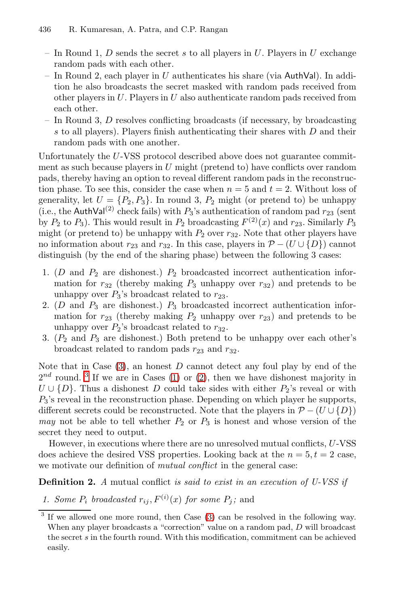- In Round 1,  $D$  sends the secret s to all players in  $U$ . Players in  $U$  exchange random pads with each other.
- In Round 2, each player in U authenticates his share (via AuthVal). In addition he also broadcasts the secret masked with random pads received from other players in  $U$ . Players in  $U$  also authenticate random pads received from each other.
- In Round 3, D resolves conflicting broadcasts (if necessary, by broadcasting s to all players). Players finish authenticating their shares with D and their random pads with one another.

<span id="page-5-1"></span><span id="page-5-0"></span>Unfortunately the U-VSS protocol described above does not guarantee commitment as such because players in  $U$  might (pretend to) have conflicts over random pads, thereby having an option to reveal different random pads in the reconstruction phase. To see this, consider the case when  $n = 5$  and  $t = 2$ . Without loss of generality, let  $U = \{P_2, P_3\}$ . In round 3,  $P_2$  might (or pretend to) be unhappy (i.e., the AuthVal<sup>(2)</sup> check fails) with  $P_3$ 's authentication of random pad  $r_{23}$  (sent by  $P_2$  to  $P_3$ ). This would result in  $P_2$  broadcasting  $F^{(2)}(x)$  and  $r_{23}$ . Similarly  $P_3$ might (or pretend to) be unhappy with  $P_2$  over  $r_{32}$ . Note that other players have no information about  $r_{23}$  and  $r_{32}$ . In this case, players in  $\mathcal{P}$  − (U  $\cup$  {D}) cannot distinguish (by the end of the sharing phase) between the following 3 cases:

- <span id="page-5-2"></span>1. ( $D$  and  $P_2$  are dishonest.)  $P_2$  broadcasted incorrect authentication information for  $r_{32}$  (thereby making  $P_3$  unhappy over  $r_{32}$ ) and pretends to be unhappy [ove](#page-5-0)r  $P_3$ ['s](#page-5-1) broadcast related to  $r_{23}$ .
- 2.  $(D \text{ and } P_3 \text{ are dishonest.})$   $P_3$  broadcasted incorrect authentication information for  $r_{23}$  (thereby making  $P_2$  unhappy over  $r_{23}$ ) and pretends to be unhappy over  $P_2$ 's broadcast related to  $r_{32}$ .
- 3.  $(P_2 \text{ and } P_3 \text{ are dishonest.})$  Both pretend to be unhappy over each other's broadcast related to random pads  $r_{23}$  and  $r_{32}$ .

Note that in Case  $(3)$ , an honest D cannot detect any foul play by end of the  $2^{nd}$  round. <sup>3</sup> If we are in Cases (1) or (2), then we have dishonest majority in  $U \cup \{D\}$ . Thus a dishonest D could take sides with either  $P_2$ 's reveal or with  $P_3$ 's reveal in the reconstruction phase. Depending on which player he supports, different secrets could be reconstructed. Note that the players in  $\mathcal{P}$  − (U  $\cup$  {D}) *may* not be able to tell whether  $P_2$  or  $P_3$  is honest and whose version of the secret they need to out[pu](#page-5-2)t.

However, in executions where there are no unresolved mutual conflicts, U-VSS does achieve the desired VSS properties. Looking back at the  $n = 5, t = 2$  case, we motivate our definition of *mutual conflict* in the general case:

**Definition 2.** *A* mutual conflict *is said to exist in an execution of U-VSS if*

*1. Some*  $P_i$  *broadcasted*  $r_{ij}$ ,  $F^{(i)}(x)$  *for some*  $P_j$ ; and

<sup>&</sup>lt;sup>3</sup> If we allowed one more round, then Case (3) can be resolved in the following way. When any player broadcasts a "correction" value on a random pad, *D* will broadcast the secret *s* in the fourth round. With this modification, commitment can be achieved easily.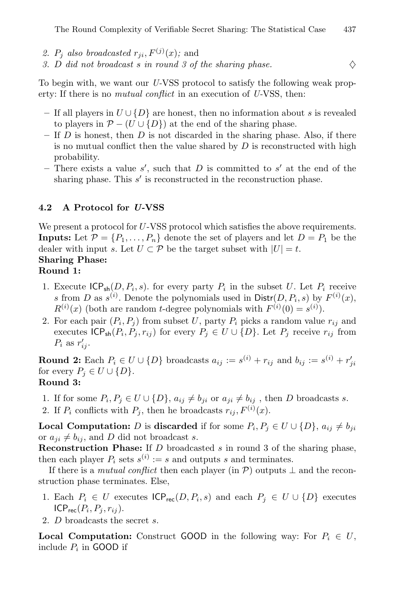- 2.  $P_i$  also broadcasted  $r_{ii}$ ,  $F^{(j)}(x)$ ; and
- 3. D *did not broadcast* s *in round 3 of the sharing phase.*  $\diamondsuit$

To begin with, we want our *U-*VSS protocol to satisfy the following weak property: If there is no *mutual conflict* in an execution of *U-*VSS, then:

- **–** If all players in U ∪ {D} are honest, then no information about s is revealed to players in  $\mathcal{P}$  − (U ∪ {D}) at the end of the sharing phase.
- **–** If D is honest, then D is not discarded in the sharing phase. Also, if there is no mutual conflict then the value shared by  $D$  is reconstructed with high probability.
- $-$  There exists a value s', such that D is committed to s' at the end of the sharing phase. This  $s'$  is reconstructed in the reconstruction phase.

### **4.2 A Protocol for** *U-***VSS**

We present a protocol for U-VSS protocol which satisfies the above requirements. **Inputs:** Let  $\mathcal{P} = \{P_1, \ldots, P_n\}$  denote the set of players and let  $D = P_1$  be the dealer with input s. Let  $U \subset \mathcal{P}$  be the target subset with  $|U| = t$ .

# **Sharing Phase:**

# **Round 1:**

- 1. Execute  $\mathsf{ICP}_{\mathsf{sh}}(D, P_i, s)$ . for every party  $P_i$  in the subset U. Let  $P_i$  receive s from D as  $s^{(i)}$ . Denote the polynomials used in  $\text{Distr}(D, P_i, s)$  by  $F^{(i)}(x)$ ,  $R^{(i)}(x)$  (both are random t-degree polynomials with  $F^{(i)}(0) = s^{(i)}$ ).
- 2. For each pair  $(P_i, P_j)$  from subset U, party  $P_i$  picks a random value  $r_{ij}$  and executes  $ICP_{sh}(P_i, P_j, r_{ij})$  for every  $P_j \in U \cup \{D\}$ . Let  $P_j$  receive  $r_{ij}$  from  $P_i$  as  $r'_{ij}$ .

**Round 2:** Each  $P_i \in U \cup \{D\}$  broadcasts  $a_{ij} := s^{(i)} + r_{ij}$  and  $b_{ij} := s^{(i)} + r'_{ji}$ for every  $P_j \in U \cup \{D\}.$ **Round 3:**

# 1. If for some  $P_i, P_j \in U \cup \{D\}, a_{ij} \neq b_{ji}$  or  $a_{ji} \neq b_{ij}$ , then D broadcasts s.

2. If  $P_i$  conflicts with  $P_j$ , then he broadcasts  $r_{ij}$ ,  $F^{(i)}(x)$ .

**Local Computation:** D is **discarded** if for some  $P_i, P_j \in U \cup \{D\}, a_{ij} \neq b_{ji}$ or  $a_{ii} \neq b_{ij}$ , and D did not broadcast s.

**Reconstruction Phase:** If D broadcasted s in round 3 of the sharing phase, then each player  $P_i$  sets  $s^{(i)} := s$  and outputs s and terminates.

If there is a *mutual conflict* then each player (in  $P$ ) outputs  $\perp$  and the reconstruction phase terminates. Else,

- 1. Each  $P_i \in U$  executes  $\mathsf{ICP}_{\mathsf{rec}}(D, P_i, s)$  and each  $P_j \in U \cup \{D\}$  executes  $ICP_{rec}(P_i, P_j, r_{ij}).$
- 2. D broadcasts the secret s.

**Local Computation:** Construct GOOD in the following way: For  $P_i \in U$ , include  $P_i$  in GOOD if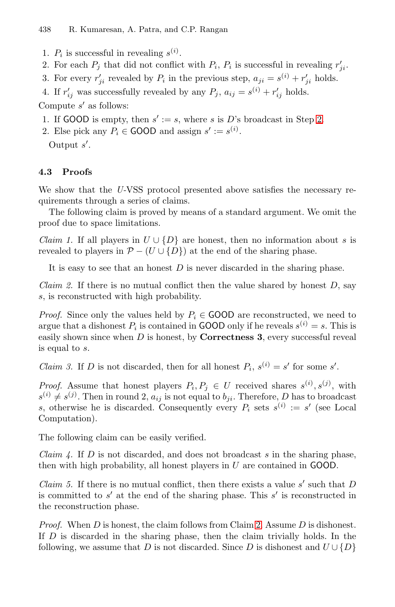- 1.  $P_i$  is successful in revealing  $s^{(i)}$ .
- 2. For each  $P_i$  that did not conflict with  $P_i$ ,  $P_i$  is successful in revealing  $r'_{ii}$ .
- 3. For every  $r'_{ii}$  revealed by  $P_i$  in the previous step,  $a_{ji} = s^{(i)} + r'_{ji}$  holds.
- 4. If  $r'_{ij}$  was successfully revealed by any  $P_j$ ,  $a_{ij} = s^{(i)} + r'_{ij}$  holds.

Compute  $s'$  as follows:

- 1. If GOOD is empty, then  $s' := s$ , where s is D's broadcast in Step 2.
- 2. Else pick any  $P_i \in \text{GOOD}$  and assign  $s' := s^{(i)}$ .

<span id="page-7-2"></span><span id="page-7-0"></span>Output s .

#### **4.3 Proofs**

We show that the *U-*VSS protocol presented above satisfies the necessary requirements through a series of claims.

The following claim is proved by means of a standard argument. We omit the proof due to space limitations.

*Claim 1.* If all players in  $U \cup \{D\}$  are honest, then no information about s is revealed to players in  $\mathcal{P}$  − (U ∪ {D}) at the end of the sharing phase.

It is easy to see that an honest  $D$  is never discarded in the sharing phase.

*Claim 2.* If there is no mutual conflict then the value shared by honest D, say s, is reconstructed with high probability.

*Proof.* Since only the values held by  $P_i \in$  GOOD are reconstructed, we need to argue that a dishonest  $P_i$  is contained in GOOD only if he reveals  $s^{(i)} = s$ . This is easily shown since when D is honest, by **Correctness 3**, every successful reveal is equal to s.

<span id="page-7-1"></span>*Claim 3.* If D is not discarded, then for all honest  $P_i$ ,  $s^{(i)} = s'$  for some s'.

<span id="page-7-3"></span>*Proof.* Assume that honest players  $P_i, P_j \in U$  received shares  $s^{(i)}, s^{(j)}$ , with  $s^{(i)} \neq s^{(j)}$ . Then in round 2,  $a_{ij}$  is not equal to  $b_{ji}$ . Therefore, D has to broadcast s, otherwise he is discarded. Consequently every  $P_i$  sets  $s^{(i)} := s'$  (see Local Computation).

The following claim can be easily v[er](#page-7-0)ified.

*Claim 4.* If D is not discarded, and does not broadcast s in the sharing phase, then with high probability, all honest players in  $U$  are contained in GOOD.

*Claim 5.* If there is no mutual conflict, then there exists a value  $s'$  such that  $D$ is committed to  $s'$  at the end of the sharing phase. This s' is reconstructed in the reconstruction phase.

*Proof.* When D is honest, the claim follows from Claim 2. Assume D is dishonest. If  $D$  is discarded in the sharing phase, then the claim trivially holds. In the following, we assume that D is not discarded. Since D is dishonest and  $U \cup \{D\}$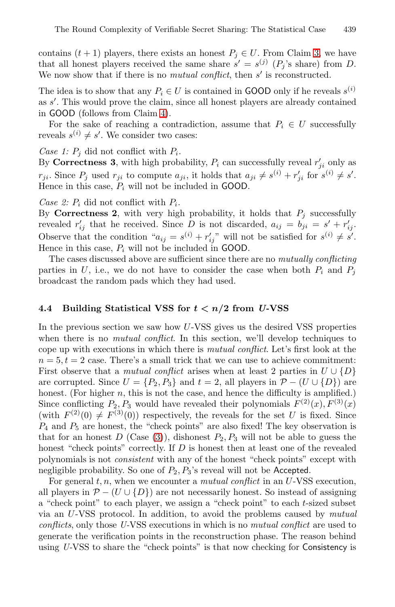contains  $(t + 1)$  players, there exists an honest  $P_j \in U$ . From Claim 3, we have that all honest players received the same share  $s' = s^{(j)}(P_j)$ 's share) from D. We now show that if there is no *mutual conflict*, then s' is reconstructed.

The idea is to show that any  $P_i \in U$  is contained in GOOD only if he reveals  $s^{(i)}$ as s . This would prove the claim, since all honest players are already contained in GOOD (follows from Claim 4).

For the sake of reaching a contradiction, assume that  $P_i \in U$  successfully reveals  $s^{(i)} \neq s'$ . We consider two cases:

*Case 1:*  $P_j$  did not conflict with  $P_i$ .

By **Correctness 3**, with high probability,  $P_i$  can successfully reveal  $r'_{ii}$  only as  $r_{ji}$ . Since  $P_j$  used  $r_{ji}$  to compute  $a_{ji}$ , it holds that  $a_{ji} \neq s^{(i)} + r'_{ji}$  for  $s^{(i)} \neq s'$ . Hence in this case,  $P_i$  will not be included in GOOD.

*Case 2:*  $P_i$  did not conflict with  $P_i$ .

By **Correctness 2**, with very high probability, it holds that  $P_i$  successfully revealed  $r'_{ij}$  that he received. Since D is not discarded,  $a_{ij} = b_{ji} = s' + r'_{ij}$ . Observe that the condition " $a_{ij} = s^{(i)} + r'_{ij}$ " will not be satisfied for  $s^{(i)} \neq s'$ . Hence in this case,  $P_i$  will not be included in GOOD.

The cases discussed above are sufficient since there are no *mutually conflicting* parties in U, i.e., we do not have to consider the case when both  $P_i$  and  $P_j$ broadcast the random pads which they had used.

### **4.4 Building Statistical VSS for** *t < n/***2 from** *U-***VSS**

In the previous section we saw how U-VSS gives us the desired VSS properties when there is no *mutual conflict*. In this section, we'll develop techniques to cope up [wit](#page-5-2)h executions in which there is *mutual conflict*. Let's first look at the  $n = 5, t = 2$  case. There's a small trick that we can use to achieve commitment: First observe that a *mutual conflict* arises when at least 2 parties in  $U \cup \{D\}$ are corrupted. Since  $U = \{P_2, P_3\}$  and  $t = 2$ , all players in  $\mathcal{P} - (U \cup \{D\})$  are honest. (For higher  $n$ , this is not the case, and hence the difficulty is amplified.) Since conflicting  $P_2, P_3$  would have revealed their polynomials  $F^{(2)}(x), F^{(3)}(x)$ (with  $F^{(2)}(0) \neq F^{(3)}(0)$ ) respectively, the reveals for the set U is fixed. Since  $P_4$  and  $P_5$  are honest, the "check points" are also fixed! The key observation is that for an honest  $D$  (Case (3)), dishonest  $P_2, P_3$  will not be able to guess the honest "check points" correctly. If D is honest then at least one of the revealed polynomials is not *consistent* with any of the honest "check points" except with negligible probability. So one of  $P_2, P_3$ 's reveal will not be Accepted.

For general  $t, n$ , when we encounter a *mutual conflict* in an U-VSS execution, all players in  $\mathcal{P}$  − (U ∪ {D}) are not necessarily honest. So instead of assigning a "check point" to each player, we assign a "check point" to each t-sized subset via an U-VSS protocol. In addition, to avoid the problems caused by *mutual conflicts*, only those *U-*VSS executions in which is no *mutual conflict* are used to generate the verification points in the reconstruction phase. The reason behind using *U-*VSS to share the "check points" is that now checking for Consistency is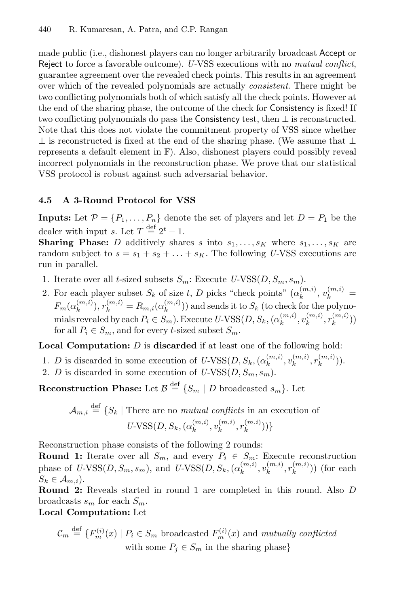made public (i.e., dishonest players can no longer arbitrarily broadcast Accept or Reject to force a favorable outcome). *U-*VSS executions with no *mutual conflict*, guarantee agreement over the revealed check points. This results in an agreement over which of the revealed polynomials are actually *consistent*. There might be two conflicting polynomials both of which satisfy all the check points. However at the end of the sharing phase, the outcome of the check for Consistency is fixed! If two conflicting polynomials do pass the Consistency test, then  $\perp$  is reconstructed. Note that this does not violate the commitment property of VSS since whether ⊥ is reconstructed is fixed at the end of the sharing phase. (We assume that  $\perp$ represents a default element in F). Also, dishonest players could possibly reveal incorrect polynomials in the reconstruction phase. We prove that our statistical VSS protocol is robust against such adversarial behavior.

#### **4.5 A 3-Round Protocol for VSS**

**Inputs:** Let  $\mathcal{P} = \{P_1, \ldots, P_n\}$  denote the set of players and let  $D = P_1$  be the dealer with input s. Let  $T \stackrel{\text{def}}{=} 2^t - 1$ .

**Sharing Phase:** D additively shares s into  $s_1, \ldots, s_K$  where  $s_1, \ldots, s_K$  are random subject to  $s = s_1 + s_2 + \ldots + s_K$ . The following *U*-VSS executions are run in parallel.

- 1. Iterate over all *t*-sized subsets  $S_m$ : Execute *U*-VSS $(D, S_m, s_m)$ .
- 2. For each player subset  $S_k$  of size t, D picks "check points"  $(\alpha_k^{(m,i)}, v_k^{(m,i)})$  $F_m(\alpha_k^{(m,i)}), r_k^{(m,i)} = R_{m,i}(\alpha_k^{(m,i)}))$  and sends it to  $S_k$  (to check for the polynomials revealed by each  $P_i \in S_m$ ). Execute *U*-VSS $(D, S_k, (\alpha_k^{(m,i)}, v_k^{(m,i)}, r_k^{(m,i)}))$ for all  $P_i \in S_m$ , and for every t-sized subset  $S_m$ .

**Local Computation:** D is **discarded** if at least one of the following hold:

- 1. *D* is discarded in some execution of  $U\text{-VSS}(D, S_k, (\alpha_k^{(m,i)}, v_k^{(m,i)}, r_k^{(m,i)})).$
- 2. *D* is discarded in some execution of  $U\text{-VSS}(D, S_m, s_m)$ .

**Reconstruction Phase:** Let  $\mathcal{B} \stackrel{\text{def}}{=} \{S_m \mid D \text{ broadcasted } s_m\}$ . Let

$$
\mathcal{A}_{m,i} \stackrel{\text{def}}{=} \{ S_k \mid \text{There are no mutual conflicts in an execution of} \}
$$

$$
U\text{-VSS}(D, S_k, (\alpha_k^{(m,i)}, v_k^{(m,i)}, r_k^{(m,i)})) \}
$$

Reconstruction phase consists of the following 2 rounds:

**Round 1:** Iterate over all  $S_m$ , and every  $P_i \in S_m$ : Execute reconstruction phase of  $U\text{-VSS}(D, S_m, s_m)$ , and  $U\text{-VSS}(D, S_k, (\alpha_k^{(m,i)}, v_k^{(m,i)}, r_k^{(m,i)}))$  (for each  $S_k \in \mathcal{A}_{m,i}$ ).

**Round 2:** Reveals started in round 1 are completed in this round. Also D broadcasts  $s_m$  for each  $S_m$ .

## **Local Computation:** Let

$$
\mathcal{C}_m \stackrel{\text{def}}{=} \{ F_m^{(i)}(x) \mid P_i \in S_m \text{ broadcasted } F_m^{(i)}(x) \text{ and mutually conflicted} \}
$$
  
with some  $P_j \in S_m$  in the sharing phase}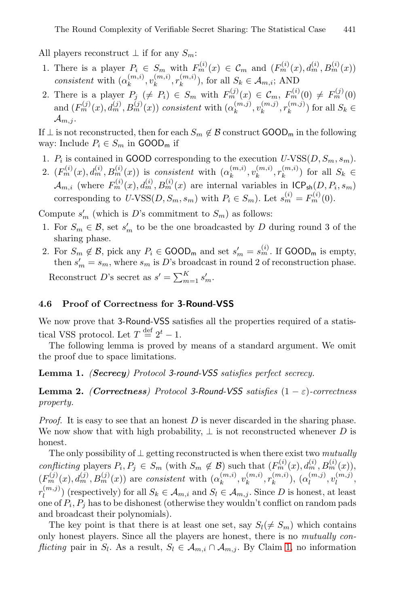All players reconstruct  $\perp$  if for any  $S_m$ :

- 1. There is a player  $P_i \in S_m$  with  $F_m^{(i)}(x) \in \mathcal{C}_m$  and  $(F_m^{(i)}(x), d_m^{(i)}, B_m^{(i)}(x))$ *consistent* with  $(\alpha_k^{(m,i)}, v_k^{(m,i)}, r_k^{(m,i)})$ , for all  $S_k \in \mathcal{A}_{m,i}$ ; AND
- 2. There is a player  $P_j \neq P_i$ )  $\in S_m$  with  $F_m^{(j)}(x) \in \mathcal{C}_m$ ,  $F_m^{(i)}(0) \neq F_m^{(j)}(0)$ and  $(F_m^{(j)}(x), d_m^{(j)}, B_m^{(j)}(x))$  *consistent* with  $(\alpha_k^{(m,j)}, v_k^{(m,j)}, r_k^{(m,j)})$  for all  $S_k \in$  $\mathcal{A}_{m,j}$ .

If  $\perp$  is not reconstructed, then for each  $S_m \notin \mathcal{B}$  construct  $\text{GOOD}_m$  in the following way: Include  $P_i \in S_m$  in GOOD<sub>m</sub> if

- 1.  $P_i$  is contained in GOOD corresponding to the execution  $U\text{-VSS}(D, S_m, s_m)$ .
- 2.  $(F_m^{(i)}(x), d_m^{(i)}, B_m^{(i)}(x))$  is *consistent* with  $(\alpha_k^{(m,i)}, v_k^{(m,i)}, r_k^{(m,i)})$  for all  $S_k \in$  $\mathcal{A}_{m,i}$  (where  $F_m^{(i)}(x), d_m^{(i)}, B_m^{(i)}(x)$  are internal variables in  $\text{ICP}_{\text{sh}}(D, P_i, s_m)$ corresponding to  $U\text{-VSS}(D, S_m, s_m)$  with  $P_i \in S_m$ ). Let  $s_m^{(i)} = F_m^{(i)}(0)$ .

Compute  $s'_m$  (which is D's commitment to  $S_m$ ) as follows:

- 1. For  $S_m \in \mathcal{B}$ , set  $s'_m$  to be the one broadcasted by D during round 3 of the sharing phase.
- <span id="page-10-1"></span>2. For  $S_m \notin \mathcal{B}$ , pick any  $P_i \in \text{GOOD}_m$  and set  $s'_m = s_m^{(i)}$ . If  $\text{GOOD}_m$  is empty, then  $s'_m = s_m$ , where  $s_m$  is D's broadcast in round 2 of reconstruction phase. Reconstruct D's secret as  $s' = \sum_{m=1}^{K} s'_m$ .

# <span id="page-10-0"></span>**4.6 Proof of Correctness for 3-Round-VSS**

We now prove that 3-Round-VSS satisfies all the properties required of a statistical VSS protocol. Let  $T \stackrel{\text{def}}{=} 2^t - 1$ .

The following lemma is proved by means of a standard argument. We omit the proof due to space limitations.

**Lemma 1.** *(Secrecy) Protocol 3-round-VSS satisfies perfect secrecy.*

**Lemma 2.** *(Correctness)* Protocol 3-Round-VSS satisfies  $(1 - \varepsilon)$ -correctness *property.*

*Proof.* It is easy to see that an honest D is never discarded in the sharing phase. We now show that with high probability,  $\perp$  is not reconstructed whenever D is honest.

The only possibility of ⊥ getting reconstructed is when there exist two *mutually conflicting* players  $P_i, P_j \in S_m$  (with  $S_m \notin \mathcal{B}$  $S_m \notin \mathcal{B}$  $S_m \notin \mathcal{B}$ ) such that  $(F_m^{(i)}(x), d_m^{(i)}, B_m^{(i)}(x)),$  $(F_m^{(j)}(x), d_m^{(j)}, B_m^{(j)}(x))$  are *consistent* with  $(\alpha_k^{(m,i)}, v_k^{(m,i)}, r_k^{(m,i)}), (\alpha_l^{(m,j)}, v_l^{(m,j)},$  $r_l^{(m,j)}$  (respectively) for all  $S_k \in \mathcal{A}_{m,i}$  and  $S_l \in \mathcal{A}_{m,j}$ . Since D is honest, at least one of  $P_i$ ,  $P_j$  has to be dishonest (otherwise they wouldn't conflict on random pads and broadcast their polynomials).

The key point is that there is at least one set, say  $S_l(\neq S_m)$  which contains only honest players. Since all the players are honest, there is no *mutually conflicting* pair in  $S_l$ . As a result,  $S_l \in A_{m,i} \cap A_{m,j}$ . By Claim 1, no information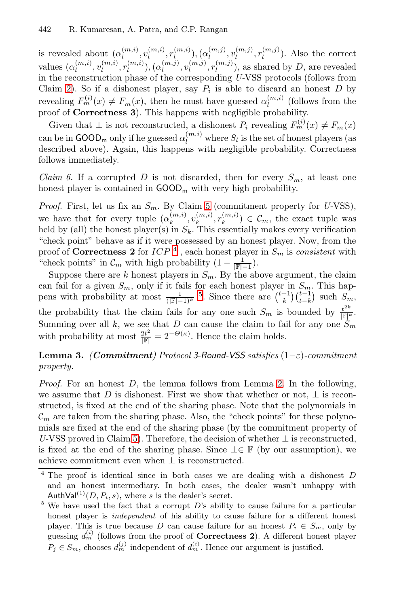is revealed about  $(\alpha_l^{(m,i)}, v_l^{(m,i)}, r_l^{(m,i)}), (\alpha_l^{(m,j)}, v_l^{(m,j)}, r_l^{(m,j)})$ . Also the correct values  $(\alpha_l^{(m,i)}, v_l^{(m,i)}, r_l^{(m,i)})$ ,  $(\alpha_l^{(m,j)}, v_l^{(m,j)}, r_l^{(m,j)})$ , as shared by D, are revealed in the reconstruction phase of the corresponding *U-*VSS protocols (follows from Claim 2). So if a dishonest player, say  $P_i$  is able to discard an honest  $D$  by revealing  $F_m^{(i)}(x) \neq F_m(x)$ , then he must have guessed  $\alpha_l^{(m,i)}$  (follows from the proof of **Correctness 3**). This happens with negligible probability.

Given that  $\bot$  is not [re](#page-7-3)constructed, a dishonest  $P_i$  revealing  $F_m^{(i)}(x) \neq F_m(x)$ can be in  $\text{GOOD}_m$  only if he guessed  $\alpha_l^{(m,i)}$  where  $S_l$  is the set of honest players (as described above). Again, this happens with negligible probability. Correctness follows immed[ia](#page-11-0)tely.

*Claim 6.* If a corrupted D is not discarded, then for every  $S_m$ , at least one honest player is contained in  $\text{GOOD}_m$  with very high probability.

*Proof.* First, let us [fix](#page-11-1) an  $S_m$ . By Claim 5 (commitment property for *U-VSS*), we have that for every tuple  $(\alpha_k^{(m,i)}, v_k^{(m,i)}, r_k^{(m,i)}) \in \mathcal{C}_m$ , the exact tuple was held by (all) the honest player(s) in  $S_k$ . This essentially makes every verification "check point" behave as if it were possessed by an honest player. Now, from the proof of **Correctness 2** for  $ICP<sup>4</sup>$ , each honest player in  $S_m$  is *consistent* with "check points" in  $\mathcal{C}_m$  with high probability  $(1 - \frac{1}{\vert \mathbb{F} \vert -1}).$ 

<span id="page-11-2"></span>Suppose there are k honest players in  $S_m$ . By the above argument, the claim can fail for a given  $S_m$ , only if it fails for each honest player in  $S_m$ . This happens with probability at most  $\frac{1}{(|\mathbb{F}|-1)^k}$ <sup>5</sup>[.](#page-10-0) Since there are  $\binom{t+1}{k}\binom{t-1}{t-k}$  such  $S_m$ , the probability that the claim fails for any one such  $S_m$  is bounded by  $\frac{t^{2k}}{|\mathbb{F}|^k}$ . Summing over all k, we see that D can cause the claim to fail for any one  $S_m$ with probability at most  $\frac{2t^2}{\|\mathbb{F}|} = 2^{-\Theta(\kappa)}$ . Hence the claim holds.

# **Le[mm](#page-7-3)a 3.** *(Commitment) Protocol 3-Round-VSS satisfies* (1−ε)*-commitment property.*

<span id="page-11-1"></span><span id="page-11-0"></span>*Proof.* For an honest D, the lemma follows from Lemma 2. In the following, we assume that D is dishonest. First we show that whether or not,  $\perp$  is reconstructed, is fixed at the end of the sharing phase. Note that the polynomials in  $\mathcal{C}_m$  are taken from the sharing phase. Also, the "check points" for these polynomials are fixed at the end of the sharing phase (by the commitment property of *U*-VSS proved in Claim 5). Therefore, the decision of whether ⊥ is reconstructed, is fixed at the end of the sharing phase. Since  $\bot \in \mathbb{F}$  (by our assumption), we achieve commitment even when  $\perp$  is reconstructed.

<sup>4</sup> The proof is identical since in both cases we are dealing with a dishonest *D* and an honest intermediary. In both cases, the dealer wasn't unhappy with AuthVal<sup>(1)</sup>(*D, P<sub>i</sub>, s*), where *s* is the dealer's secret.

<sup>&</sup>lt;sup>5</sup> We have used the fact that a corrupt *D*'s ability to cause failure for a particular honest player is independent of his ability to cause failure for a different honest player. This is true because *D* can cause failure for an honest  $P_i \in S_m$ , only by guessing  $d_m^{(i)}$  (follows from the proof of **Correctness 2**). A different honest player  $P_j \in S_m$ , chooses  $d_m^{(j)}$  independent of  $d_m^{(i)}$ . Hence our argument is justified.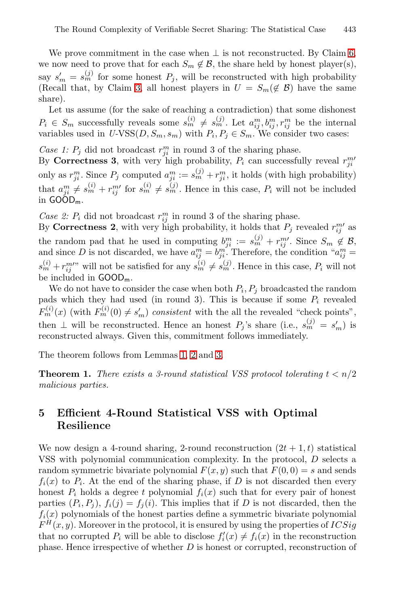We prove commitment in the case when  $\perp$  is not reconstructed. By Claim 6, we now need to prove that for each  $S_m \notin \mathcal{B}$ , the share held by honest player(s), say  $s'_m = s_m^{(j)}$  for some honest  $P_j$ , will be reconstructed with high probability (Recall that, by Claim 3, all honest players in  $U = S_m(\notin \mathcal{B})$  have the same share).

Let us assume (for the sake of reaching a contradiction) that some dishonest  $P_i \in S_m$  successfully reveals some  $s_m^{(i)} \neq s_m^{(j)}$ . Let  $a_{ii}^m, b_{ii}^m, r_{ij}^m$  be the internal variables used in  $U\text{-VSS}(D, S_m, s_m)$  with  $P_i, P_j \in S_m$ . We consider two cases:

Case 1:  $P_j$  did not broadcast  $r_{ii}^m$  in round 3 of the sharing phase.

By **Correctness 3**, with very high probability,  $P_i$  can successfully reveal  $r_{ii}^{m}$ only as  $r_{ii}^m$ . Since  $P_j$  computed  $a_{ii}^m := s_m^{(j)} + r_{ii}^m$ , it holds (with high probability) that  $a_{ii}^m \neq s_m^{(i)} + r_{ii}^{m'}$  for  $s_m^{(i)} \neq s_m^{(j)}$ . Hence in this case,  $P_i$  will not be included in  $GO\O{O}_{m}$ .

*Case 2:*  $P_i$  did not broadcast  $r_{ij}^m$  in round 3 of the sharing phase.

By **Correctness 2**, with very high probability, it holds that  $P_j$  revealed  $r_{ij}^{m'}$  as the random pad that he used in computing  $b_{ii}^m := s_m^{(j)} + r_{ii}^m$ . Since  $S_m \notin \mathcal{B}$ , and since D is not discarded, we have  $a_{ij}^m = b_{ji}^m$ . Therefore, the condition " $a_{ij}^m =$  $s_m^{(i)} + r_{ii}^{m}$  will [not](#page-10-1) [be](#page-10-0) sat[isfi](#page-11-2)ed for any  $s_m^{(i)} \neq s_m^{(j)}$ . Hence in this case,  $P_i$  will not be included in  $GOOD_m$ .

We do not have to consider the case when both  $P_i, P_j$  broadcasted the random pads which they had used (in round 3). This is because if some  $P_i$  revealed  $F_m^{(i)}(x)$  (with  $F_m^{(i)}(0) \neq s'_m$ ) *consistent* with the all the revealed "check points", then  $\perp$  will be reconstructed. Hence an honest  $P_j$ 's share (i.e.,  $s_m^{(j)} = s'_m$ ) is reconstructed always. Given this, commitment follows immediately.

The theorem follows from Lemmas 1, 2 and 3.

**Theorem 1.** *There exists a 3-round statistical VSS protocol tolerating*  $t < n/2$ *malicious parties.*

# **5 Efficient 4-Round Statistical VSS with Optimal Resilience**

We now design a 4-round sharing, 2-round reconstruction  $(2t + 1, t)$  statistical VSS with polynomial communication complexity. In the protocol, D selects a random symmetric bivariate polynomial  $F(x, y)$  such that  $F(0, 0) = s$  and sends  $f_i(x)$  to  $P_i$ . At the end of the sharing phase, if D is not discarded then every honest  $P_i$  holds a degree t polynomial  $f_i(x)$  such that for every pair of honest parties  $(P_i, P_j)$ ,  $f_i(j) = f_j(i)$ . This implies that if D is not discarded, then the  $f_i(x)$  polynomials of the honest parties define a symmetric bivariate polynomial  $F^H(x, y)$ . Moreover in the protocol, it is ensured by using the properties of  $ICSig$ that no corrupted  $P_i$  will be able to disclose  $f_i'(x) \neq f_i(x)$  in the reconstruction phase. Hence irrespective of whether  $D$  is honest or corrupted, reconstruction of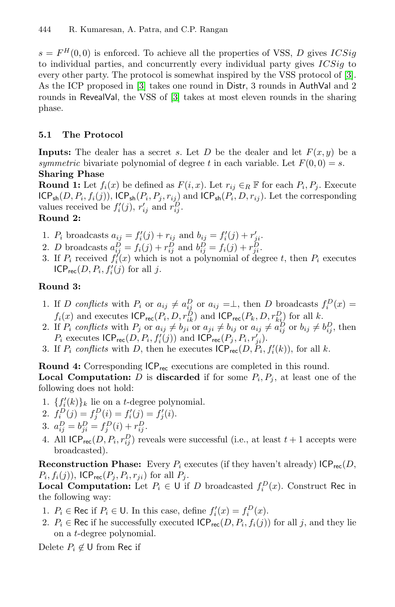$s = F^{H}(0, 0)$  is enforced. To achieve all the properties of VSS, D gives  $ICSig$ to individual parties, and concurrently every individual party gives  $ICSig$  to every other party. The protocol is somewhat inspired by the VSS protocol of [3]. As the ICP proposed in [3] takes one round in Distr, 3 rounds in AuthVal and 2 rounds in RevealVal, the VSS of [3] takes at most eleven rounds in the sharing phase.

### **5.1 The Protocol**

**Inputs:** The dealer has a secret s. Let D be the dealer and let  $F(x, y)$  be a *symmetric* bivariate polynomial of degree t in each variable. Let  $F(0, 0) = s$ . **Sharing Phase**

**Round 1:** Let  $f_i(x)$  be defined as  $F(i, x)$ . Let  $r_{ij} \in_R \mathbb{F}$  for each  $P_i, P_j$ . Execute  $ICP_{sh}(D, P_i, f_i(j)), ICP_{sh}(P_i, P_j, r_{ij})$  and  $ICP_{sh}(P_i, D, r_{ij})$ . Let the corresponding values received be  $f_i'(j)$ ,  $r'_{ij}$  and  $r_{ij}^D$ .

## <span id="page-13-0"></span>**Round 2:**

- 1.  $P_i$  broadcasts  $a_{ij} = f'_i(j) + r_{ij}$  and  $b_{ij} = f'_i(j) + r'_{ji}$ .
- 2. D broadcasts  $a_{ij}^{D} = f_i(j) + r_{ij}^{D}$  and  $b_{ij}^{D} = f_i(j) + r_{ji}^{D}$ .
- <span id="page-13-1"></span>3. If  $P_i$  received  $f_i'(x)$  which is not a polynomial of degree t, then  $P_i$  executes  $ICP_{rec}(D, P_i, f'_i(j)$  for all j.

## **Round 3:**

- 1. If *D conflicts* with  $P_i$  or  $a_{ij} \neq a_{ij}^D$  or  $a_{ij} = \perp$ , then *D* broadcasts  $f_i^D(x) =$  $f_i(x)$  and executes  $\mathsf{ICP_{rec}}(P_i, D, r_{ik}^D)$  and  $\mathsf{ICP_{rec}}(P_k, D, r_{ki}^D)$  for all k.
- 2. If  $P_i$  conflicts with  $P_j$  or  $a_{ij} \neq b_{ji}$  or  $a_{ji} \neq b_{ij}$  or  $a_{ij} \neq a_{ij}^D$  or  $b_{ij} \neq b_{ij}^D$ , then  $P_i$  executes  $\mathsf{ICP}_{\mathsf{rec}}(D, P_i, f'_i(j))$  and  $\mathsf{ICP}_{\mathsf{rec}}(P_j, P_i, r'_{ii}).$
- 3. If  $P_i$  conflicts with D, then he executes  $\mathsf{ICP}_{\mathsf{rec}}(D, P_i, f_i'(k))$ , for all k.

**Round 4:** Corresponding  $ICP_{rec}$  executions are completed in this round. **Local Computation:** D is **discarded** if for some  $P_i, P_j$ , at least one of the following does not hold:

- 1.  $\{f_i'(k)\}_k$  lie on a t-degree polynomial.
- 2.  $f_i^D(j) = f_i^D(i) = f'_i(j) = f'_i(i)$ .
- 3.  $a_{ij}^D = b_{ji}^D = f_i^D(i) + r_{ij}^D$ .
- 4. All  $\mathsf{ICP}_{\mathsf{rec}}(D, P_i, r_{ij}^D)$  reveals were successful (i.e., at least  $t + 1$  accepts were broadcasted).

**Reconstruction Phase:** Every  $P_i$  executes (if they haven't already)  $\text{ICP}_{\text{rec}}(D)$ ,  $P_i, f_i(j)$ , ICP<sub>rec</sub> $(P_j, P_i, r_{ji})$  for all  $P_j$ .

**Local Computation:** Let  $P_i \in \mathsf{U}$  if D broadcasted  $f_i^D(x)$ . Construct Rec in the following way:

- 1.  $P_i \in \text{Rec if } P_i \in \text{U}$ . In this case, define  $f'_i(x) = f_i^D(x)$ .
- 2.  $P_i \in \text{Rec if he successfully executed } \mathsf{ICP}_{\mathsf{rec}}(D, P_i, f_i(j)) \text{ for all } j, \text{ and they lie}$ on a t-degree polynomial.

Delete  $P_i \notin U$  from Rec if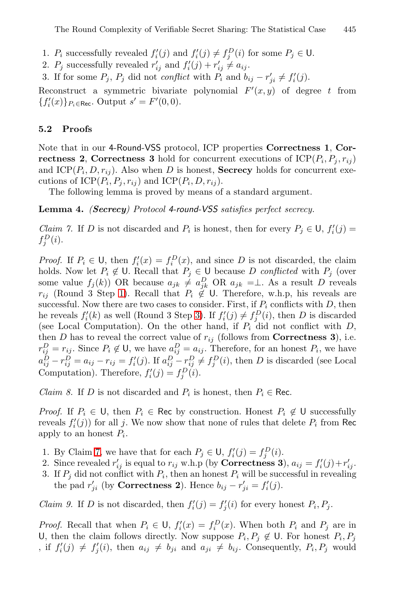The Round Complexity of Verifiable Secret Sharing: The Statistical Case 445

- 1.  $P_i$  successfully revealed  $f_i'(j)$  and  $f_i'(j) \neq f_i^D(i)$  for some  $P_j \in \mathsf{U}$ .
- 2.  $P_j$  successfully revealed  $r'_{ij}$  and  $f'_i(j) + r'_{ij} \neq a_{ij}$ .
- <span id="page-14-2"></span>3. If for some  $P_j$ ,  $P_j$  did not *conflict* with  $P_i$  and  $b_{ij} - r'_{ji} \neq f'_i(j)$ .

Reconstruct a symmetric bivariate polynomial  $F'(x, y)$  of degree t from  ${f'_i(x)}_{P_i \in \text{Rec}}$ . Output  $s' = F'(0,0)$ .

#### <span id="page-14-1"></span>**5.2 Proofs**

Note that in our 4-Round-VSS protocol, ICP properties **Correctness 1**, **Correctness 2**, **Correctness 3** hold for concurrent executions of  $\text{ICP}(P_i, P_j, r_{ij})$ and  $ICP(P_i, D, r_{ij})$ . Also when D is honest, **Secrecy** holds for concurrent executions of ICP( $P_i, P_j, r_{ij}$ ) and ICP( $P_i, D, r_{ij}$ ).

The following lemma is proved by means of a standard argument.

**[Le](#page-13-0)mma 4.** *(Secrecy) Protocol 4-round-VSS satisfies perfect secrecy.*

*Claim 7.* If D is no[t d](#page-13-1)iscarded and  $P_i$  is honest, then for every  $P_j \in U$ ,  $f'_i(j)$  $f_i^D(i)$ .

<span id="page-14-0"></span>*Proof.* If  $P_i \in U$ , then  $f_i'(x) = f_i^D(x)$ , and since D is not discarded, the claim holds. Now let  $P_i \notin \mathsf{U}$ . Recall that  $P_j \in \mathsf{U}$  because D *conflicted* with  $P_j$  (over some value  $f_j(k)$ ) OR because  $a_{jk} \neq a_{jk}^D$  OR  $a_{jk} = \perp$ . As a result D reveals  $r_{ij}$  (Round 3 Step 1). Recall that  $P_i \notin U$ . Therefore, w.h.p, his reveals are successful. Now there are two cases to consider. First, if  $P_i$  conflicts with  $D$ , then he reveals  $f_i'(k)$  as well (Round 3 Step 3). If  $f_i'(j) \neq f_i^D(i)$ , then D is discarded (see Local Computation). On the other hand, if  $P_i$  did not conflict with  $D$ , then D has to reveal the correct value of  $r_{ij}$  (follows from **Correctness 3**), i.e.  $r_{ij}^D = r_{ij}$ . Since  $P_i \notin U$ , we have  $a_{ij}^D = a_{ij}$ . Therefore, for an honest  $P_i$ , we have  $a_{ij}^D - r_{ij}^D = a_{ij} - r_{ij} = f'_i(j)$ . If  $a_{ij}^D - r_{ij}^D \neq f_i^D(i)$ , then D is discarded (see Local Computation). Therefore,  $f_i'(j) = f_i^D(i)$ .

*Claim 8.* If D is not discarded and  $P_i$  is honest, then  $P_i \in \text{Rec}$ .

*Proof.* If  $P_i \in \mathsf{U}$ , then  $P_i \in \mathsf{Rec}$  by construction. Honest  $P_i \notin \mathsf{U}$  successfully reveals  $f_i'(j)$  for all j. We now show that none of rules that delete  $P_i$  from Rec apply to an honest  $P_i$ .

- 1. By Claim 7, we have that for each  $P_j \in \mathsf{U}$ ,  $f_i'(j) = f_i^D(i)$ .
- 2. Since revealed  $r'_{ij}$  is equal to  $r_{ij}$  w.h.p (by **Correctness 3**),  $a_{ij} = f'_i(j) + r'_{ij}$ .
- 3. If  $P_i$  did not conflict with  $P_i$ , then an honest  $P_i$  will be successful in revealing the pad  $r'_{ii}$  (by **Correctness 2**). Hence  $b_{ij} - r'_{ii} = f'_i(j)$ .

*Claim 9.* If D is not discarded, then  $f_i'(j) = f_i'(i)$  for every honest  $P_i, P_j$ .

*Proof.* Recall that when  $P_i \in U$ ,  $f'_i(x) = f_i^D(x)$ . When both  $P_i$  and  $P_j$  are in U, then the claim follows directly. Now suppose  $P_i, P_j \notin U$ . For honest  $P_i, P_j$ , if  $f_i'(j) \neq f_i'(i)$ , then  $a_{ij} \neq b_{ji}$  and  $a_{ji} \neq b_{ij}$ . Consequently,  $P_i, P_j$  would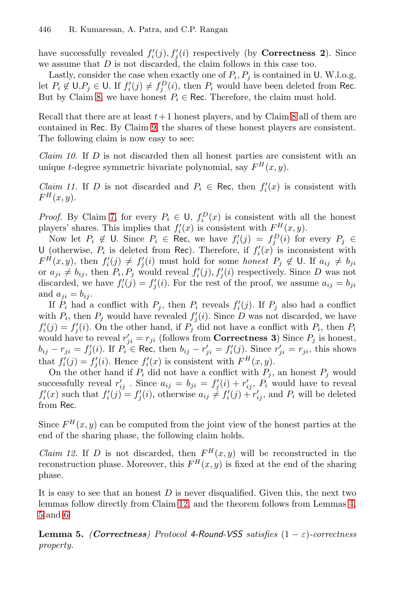have successfully revealed  $f_i'(j)$ ,  $f_i'(i)$  respectively (by **Correctness 2**). Since we assume that D is not discarded, the claim follows in this case too.

Lastly, consider the case when exactly one of  $P_i, P_j$  is contained in U. W.l.o.g, let  $P_i \notin U, P_j \in U$ . If  $f_i'(j) \neq f_i^D(i)$ , then  $P_i$  would have been deleted from Rec. But by Claim 8, we have honest  $P_i \in \text{Rec. Therefore, the claim must hold.}$ 

Recall that there are at least  $t+1$  honest players, and by Claim 8 all of them are [c](#page-14-1)ontained in Rec. By Claim 9, the shares of these honest players are consistent. The following claim is now easy to see:

*Claim 10.* If D is not discarded then all honest parties are consistent with an unique t-degree symmetric bivariate polynomial, say  $F^H(x, y)$ .

*Claim 11.* If D is not discarded and  $P_i \in \text{Rec}$ , then  $f'_i(x)$  is consistent with  $F^H(x, y)$ .

*Proof.* By Claim 7, for every  $P_i \in U$ ,  $f_i^D(x)$  is consistent with all the honest players' shares. This implies that  $f_i'(x)$  is consistent with  $F^H(x, y)$ .

Now let  $P_i \notin \mathsf{U}$ . Since  $P_i \in \mathsf{Rec}$ , we have  $f_i'(j) = f_i^D(i)$  for every  $P_j \in \mathsf{C}$ U (otherwise,  $P_i$  is deleted from Rec). Therefore, if  $f_i'(x)$  is inconsistent with  $F^{\hat{H}}(x,y)$ , then  $f_i'(j) \neq f_i'(i)$  must hold for some *honest*  $P_j \notin U$ . If  $a_{ij} \neq b_{ji}$ or  $a_{ji} \neq b_{ij}$ , then  $P_i, P_j$  would reveal  $f_i'(j), f_j'(i)$  respectively. Since D was not discarded, we have  $f_i'(j) = f_i'(i)$ . For the rest of the proof, we assume  $a_{ij} = b_{ji}$ and  $a_{ii} = b_{ii}$ .

If  $P_i$  had a conflict with  $P_j$ , then  $P_i$  reveals  $f_i'(j)$ . If  $P_j$  also had a conflict with  $P_i$ , then  $P_j$  would have revealed  $f_i'(i)$ . Since D was not discarded, we have  $f_i'(j) = f_i'(i)$ . On the other hand, if  $P_j$  did not have a conflict with  $P_i$ , then  $P_i$ would have to reveal  $r'_{ii} = r_{ji}$  (follows from **Correctness 3**) Since  $P_j$  is honest,  $b_{ij} - r_{ji} = f'_i(i)$ . If  $P_i \in \text{Rec}$ , then  $b_{ij} - r'_{ji} = f'_i(j)$ . Since  $r'_{ji} = r_{ji}$ , this shows that  $f_i'(j) = f_i'(i)$ . Hence  $f_i'(x)$  is consistent with  $F^H(x, y)$ .

<span id="page-15-0"></span>On the other hand if  $P_i$  did not have a conflict with  $P_j$ , an honest  $P_j$  would successfully reveal  $r'_{ij}$ . Since  $a_{ij} = b_{ji} = f'_i(i) + r'_{ij}$ ,  $P_i$  would have to reveal  $f_i'(x)$  such that  $f_i'(j) = f_i'(i)$ , otherwise  $a_{ij} \neq f_i'(j) + r_{ij}'$ , and  $P_i$  will be deleted from Rec.

Since  $F^H(x, y)$  [can](#page-15-0) be computed from t[h](#page-14-2)e joint view of the honest parties at the end of the sharing phase, the following claim holds.

*Claim 12.* If D is not discarded, then  $F^H(x, y)$  will be reconstructed in the reconstruction phase. Moreover, this  $F^{H}(x, y)$  is fixed at the end of the sharing phase.

It is easy to see that an honest  $D$  is never disqualified. Given this, the next two lemmas follow directly from Claim 12, and the theorem follows from Lemmas 4, 5 and 6.

**Lemma 5.** *(Correctness)* Protocol 4-Round-VSS satisfies  $(1 - \varepsilon)$ -correctness *property.*